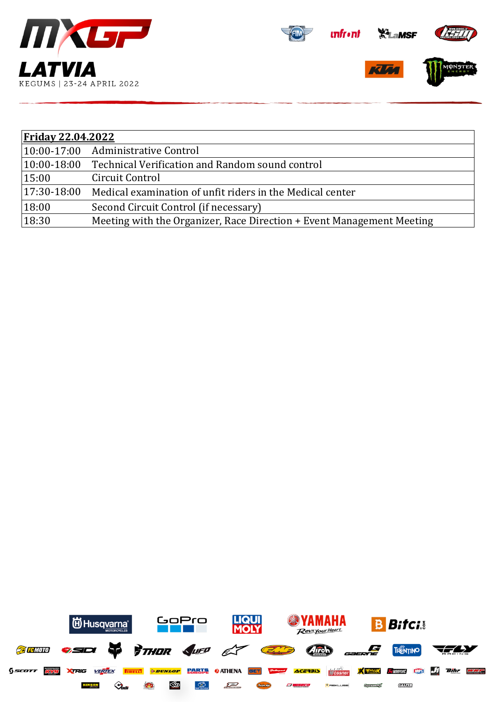





| <b>Friday 22.04.2022</b> |                                                                       |  |  |  |
|--------------------------|-----------------------------------------------------------------------|--|--|--|
|                          | 10:00-17:00 Administrative Control                                    |  |  |  |
| $ 10:00-18:00$           | Technical Verification and Random sound control                       |  |  |  |
| 15:00                    | Circuit Control                                                       |  |  |  |
| 17:30-18:00              | Medical examination of unfit riders in the Medical center             |  |  |  |
| 18:00                    | Second Circuit Control (if necessary)                                 |  |  |  |
| 18:30                    | Meeting with the Organizer, Race Direction + Event Management Meeting |  |  |  |

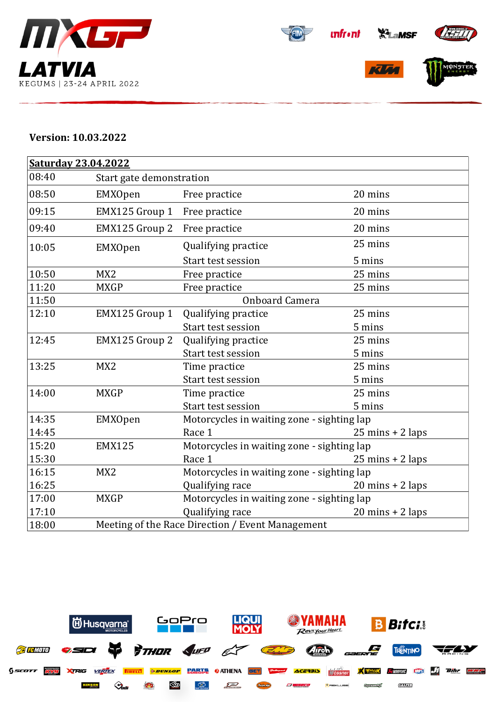









## **Version: 10.03.2022**

| <b>Saturday 23.04.2022</b><br>08:40 |                                            |                                                  |  |  |  |  |
|-------------------------------------|--------------------------------------------|--------------------------------------------------|--|--|--|--|
|                                     | Start gate demonstration                   |                                                  |  |  |  |  |
| EMXOpen                             | Free practice                              | 20 mins                                          |  |  |  |  |
| EMX125 Group 1                      | Free practice                              | 20 mins                                          |  |  |  |  |
| EMX125 Group 2                      | Free practice                              | 20 mins                                          |  |  |  |  |
| EMXOpen                             | Qualifying practice                        | 25 mins                                          |  |  |  |  |
|                                     | Start test session                         | 5 mins                                           |  |  |  |  |
| MX <sub>2</sub>                     | Free practice                              | 25 mins                                          |  |  |  |  |
| <b>MXGP</b>                         | Free practice                              | 25 mins                                          |  |  |  |  |
| <b>Onboard Camera</b>               |                                            |                                                  |  |  |  |  |
| EMX125 Group 1                      | Qualifying practice                        | 25 mins                                          |  |  |  |  |
|                                     | Start test session                         | 5 mins                                           |  |  |  |  |
| EMX125 Group 2                      | Qualifying practice                        | 25 mins                                          |  |  |  |  |
|                                     | Start test session                         | 5 mins                                           |  |  |  |  |
| MX <sub>2</sub>                     | Time practice                              | 25 mins                                          |  |  |  |  |
|                                     | Start test session                         | 5 mins                                           |  |  |  |  |
| <b>MXGP</b>                         | Time practice                              | 25 mins                                          |  |  |  |  |
|                                     | Start test session                         | 5 mins                                           |  |  |  |  |
| EMXOpen                             | Motorcycles in waiting zone - sighting lap |                                                  |  |  |  |  |
|                                     | Race 1                                     | $25 \text{ mins} + 2 \text{ laps}$               |  |  |  |  |
| <b>EMX125</b>                       | Motorcycles in waiting zone - sighting lap |                                                  |  |  |  |  |
|                                     | Race 1                                     | $25 \text{ mins} + 2 \text{ laps}$               |  |  |  |  |
| MX <sub>2</sub>                     | Motorcycles in waiting zone - sighting lap |                                                  |  |  |  |  |
|                                     | Qualifying race                            | $20$ mins + $2$ laps                             |  |  |  |  |
| <b>MXGP</b>                         | Motorcycles in waiting zone - sighting lap |                                                  |  |  |  |  |
|                                     | Qualifying race                            | $20 \text{ mins} + 2 \text{ laps}$               |  |  |  |  |
|                                     |                                            |                                                  |  |  |  |  |
|                                     |                                            | Meeting of the Race Direction / Event Management |  |  |  |  |